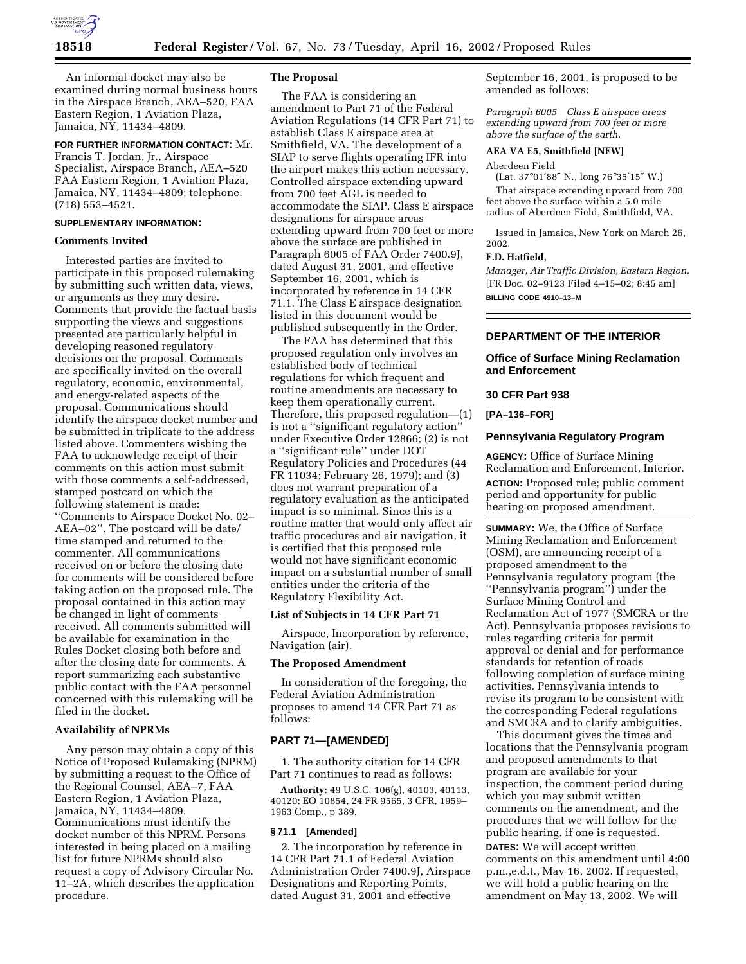

An informal docket may also be examined during normal business hours in the Airspace Branch, AEA–520, FAA Eastern Region, 1 Aviation Plaza, Jamaica, NY, 11434–4809.

## **FOR FURTHER INFORMATION CONTACT:** Mr.

Francis T. Jordan, Jr., Airspace Specialist, Airspace Branch, AEA–520 FAA Eastern Region, 1 Aviation Plaza, Jamaica, NY, 11434–4809; telephone: (718) 553–4521.

# **SUPPLEMENTARY INFORMATION:**

### **Comments Invited**

Interested parties are invited to participate in this proposed rulemaking by submitting such written data, views, or arguments as they may desire. Comments that provide the factual basis supporting the views and suggestions presented are particularly helpful in developing reasoned regulatory decisions on the proposal. Comments are specifically invited on the overall regulatory, economic, environmental, and energy-related aspects of the proposal. Communications should identify the airspace docket number and be submitted in triplicate to the address listed above. Commenters wishing the FAA to acknowledge receipt of their comments on this action must submit with those comments a self-addressed, stamped postcard on which the following statement is made: ''Comments to Airspace Docket No. 02– AEA–02''. The postcard will be date/ time stamped and returned to the commenter. All communications received on or before the closing date for comments will be considered before taking action on the proposed rule. The proposal contained in this action may be changed in light of comments received. All comments submitted will be available for examination in the Rules Docket closing both before and after the closing date for comments. A report summarizing each substantive public contact with the FAA personnel concerned with this rulemaking will be filed in the docket.

# **Availability of NPRMs**

Any person may obtain a copy of this Notice of Proposed Rulemaking (NPRM) by submitting a request to the Office of the Regional Counsel, AEA–7, FAA Eastern Region, 1 Aviation Plaza, Jamaica, NY, 11434–4809. Communications must identify the docket number of this NPRM. Persons interested in being placed on a mailing list for future NPRMs should also request a copy of Advisory Circular No. 11–2A, which describes the application procedure.

### **The Proposal**

The FAA is considering an amendment to Part 71 of the Federal Aviation Regulations (14 CFR Part 71) to establish Class E airspace area at Smithfield, VA. The development of a SIAP to serve flights operating IFR into the airport makes this action necessary. Controlled airspace extending upward from 700 feet AGL is needed to accommodate the SIAP. Class E airspace designations for airspace areas extending upward from 700 feet or more above the surface are published in Paragraph 6005 of FAA Order 7400.9J, dated August 31, 2001, and effective September 16, 2001, which is incorporated by reference in 14 CFR 71.1. The Class E airspace designation listed in this document would be published subsequently in the Order.

The FAA has determined that this proposed regulation only involves an established body of technical regulations for which frequent and routine amendments are necessary to keep them operationally current. Therefore, this proposed regulation—(1) is not a ''significant regulatory action'' under Executive Order 12866; (2) is not a ''significant rule'' under DOT Regulatory Policies and Procedures (44 FR 11034; February 26, 1979); and (3) does not warrant preparation of a regulatory evaluation as the anticipated impact is so minimal. Since this is a routine matter that would only affect air traffic procedures and air navigation, it is certified that this proposed rule would not have significant economic impact on a substantial number of small entities under the criteria of the Regulatory Flexibility Act.

#### **List of Subjects in 14 CFR Part 71**

Airspace, Incorporation by reference, Navigation (air).

#### **The Proposed Amendment**

In consideration of the foregoing, the Federal Aviation Administration proposes to amend 14 CFR Part 71 as follows:

### **PART 71—[AMENDED]**

1. The authority citation for 14 CFR Part 71 continues to read as follows:

**Authority:** 49 U.S.C. 106(g), 40103, 40113, 40120; EO 10854, 24 FR 9565, 3 CFR, 1959– 1963 Comp., p 389.

#### **§ 71.1 [Amended]**

2. The incorporation by reference in 14 CFR Part 71.1 of Federal Aviation Administration Order 7400.9J, Airspace Designations and Reporting Points, dated August 31, 2001 and effective

September 16, 2001, is proposed to be amended as follows:

*Paragraph 6005 Class E airspace areas extending upward from 700 feet or more above the surface of the earth.*

## **AEA VA E5, Smithfield [NEW]**

# Aberdeen Field

(Lat. 37°01′88″ N., long 76°35′15″ W.) That airspace extending upward from 700 feet above the surface within a 5.0 mile radius of Aberdeen Field, Smithfield, VA.

Issued in Jamaica, New York on March 26, 2002.

#### **F.D. Hatfield,**

*Manager, Air Traffic Division, Eastern Region.* [FR Doc. 02–9123 Filed 4–15–02; 8:45 am] **BILLING CODE 4910–13–M**

# **DEPARTMENT OF THE INTERIOR**

### **Office of Surface Mining Reclamation and Enforcement**

# **30 CFR Part 938**

# **[PA–136–FOR]**

### **Pennsylvania Regulatory Program**

**AGENCY:** Office of Surface Mining Reclamation and Enforcement, Interior. **ACTION:** Proposed rule; public comment period and opportunity for public hearing on proposed amendment.

**SUMMARY:** We, the Office of Surface Mining Reclamation and Enforcement (OSM), are announcing receipt of a proposed amendment to the Pennsylvania regulatory program (the ''Pennsylvania program'') under the Surface Mining Control and Reclamation Act of 1977 (SMCRA or the Act). Pennsylvania proposes revisions to rules regarding criteria for permit approval or denial and for performance standards for retention of roads following completion of surface mining activities. Pennsylvania intends to revise its program to be consistent with the corresponding Federal regulations and SMCRA and to clarify ambiguities.

This document gives the times and locations that the Pennsylvania program and proposed amendments to that program are available for your inspection, the comment period during which you may submit written comments on the amendment, and the procedures that we will follow for the public hearing, if one is requested.

**DATES:** We will accept written comments on this amendment until 4:00 p.m.,e.d.t., May 16, 2002. If requested, we will hold a public hearing on the amendment on May 13, 2002. We will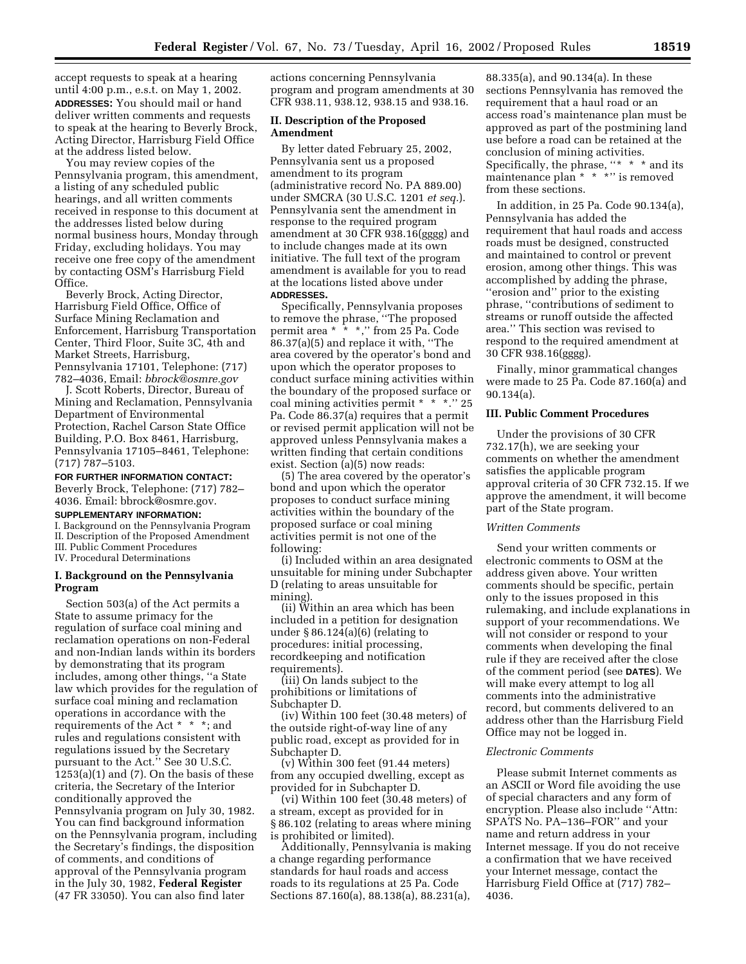accept requests to speak at a hearing until 4:00 p.m., e.s.t. on May 1, 2002. **ADDRESSES:** You should mail or hand deliver written comments and requests to speak at the hearing to Beverly Brock, Acting Director, Harrisburg Field Office at the address listed below.

You may review copies of the Pennsylvania program, this amendment, a listing of any scheduled public hearings, and all written comments received in response to this document at the addresses listed below during normal business hours, Monday through Friday, excluding holidays. You may receive one free copy of the amendment by contacting OSM's Harrisburg Field Office.

Beverly Brock, Acting Director, Harrisburg Field Office, Office of Surface Mining Reclamation and Enforcement, Harrisburg Transportation Center, Third Floor, Suite 3C, 4th and Market Streets, Harrisburg, Pennsylvania 17101, Telephone: (717) 782–4036, Email: *bbrock@osmre.gov*

J. Scott Roberts, Director, Bureau of Mining and Reclamation, Pennsylvania Department of Environmental Protection, Rachel Carson State Office Building, P.O. Box 8461, Harrisburg, Pennsylvania 17105–8461, Telephone: (717) 787–5103.

**FOR FURTHER INFORMATION CONTACT:** Beverly Brock, Telephone: (717) 782–

4036. Email: bbrock@osmre.gov.

# **SUPPLEMENTARY INFORMATION:**

I. Background on the Pennsylvania Program II. Description of the Proposed Amendment III. Public Comment Procedures IV. Procedural Determinations

# **I. Background on the Pennsylvania Program**

Section 503(a) of the Act permits a State to assume primacy for the regulation of surface coal mining and reclamation operations on non-Federal and non-Indian lands within its borders by demonstrating that its program includes, among other things, ''a State law which provides for the regulation of surface coal mining and reclamation operations in accordance with the requirements of the Act \* \* \*; and rules and regulations consistent with regulations issued by the Secretary pursuant to the Act." See 30 U.S.C.  $1253(a)(1)$  and  $(7)$ . On the basis of these criteria, the Secretary of the Interior conditionally approved the Pennsylvania program on July 30, 1982. You can find background information on the Pennsylvania program, including the Secretary's findings, the disposition of comments, and conditions of approval of the Pennsylvania program in the July 30, 1982, **Federal Register** (47 FR 33050). You can also find later

actions concerning Pennsylvania program and program amendments at 30 CFR 938.11, 938.12, 938.15 and 938.16.

#### **II. Description of the Proposed Amendment**

By letter dated February 25, 2002, Pennsylvania sent us a proposed amendment to its program (administrative record No. PA 889.00) under SMCRA (30 U.S.C. 1201 *et seq.*). Pennsylvania sent the amendment in response to the required program amendment at 30 CFR 938.16(gggg) and to include changes made at its own initiative. The full text of the program amendment is available for you to read at the locations listed above under **ADDRESSES.**

Specifically, Pennsylvania proposes to remove the phrase, ''The proposed permit area \* \* \*,'' from 25 Pa. Code 86.37(a)(5) and replace it with, ''The area covered by the operator's bond and upon which the operator proposes to conduct surface mining activities within the boundary of the proposed surface or coal mining activities permit \* \* \*.'' 25 Pa. Code 86.37(a) requires that a permit or revised permit application will not be approved unless Pennsylvania makes a written finding that certain conditions exist. Section (a)(5) now reads:

(5) The area covered by the operator's bond and upon which the operator proposes to conduct surface mining activities within the boundary of the proposed surface or coal mining activities permit is not one of the following:

(i) Included within an area designated unsuitable for mining under Subchapter D (relating to areas unsuitable for mining).

(ii) Within an area which has been included in a petition for designation under  $\S 86.124(a)(6)$  (relating to procedures: initial processing, recordkeeping and notification requirements).

(iii) On lands subject to the prohibitions or limitations of Subchapter D.

(iv) Within 100 feet (30.48 meters) of the outside right-of-way line of any public road, except as provided for in Subchapter D.

(v) Within 300 feet (91.44 meters) from any occupied dwelling, except as provided for in Subchapter D.

(vi) Within 100 feet (30.48 meters) of a stream, except as provided for in § 86.102 (relating to areas where mining is prohibited or limited).

Additionally, Pennsylvania is making a change regarding performance standards for haul roads and access roads to its regulations at 25 Pa. Code Sections 87.160(a), 88.138(a), 88.231(a),

88.335(a), and 90.134(a). In these sections Pennsylvania has removed the requirement that a haul road or an access road's maintenance plan must be approved as part of the postmining land use before a road can be retained at the conclusion of mining activities. Specifically, the phrase, ''\* \* \* and its maintenance plan \* \* \*'' is removed from these sections.

In addition, in 25 Pa. Code 90.134(a), Pennsylvania has added the requirement that haul roads and access roads must be designed, constructed and maintained to control or prevent erosion, among other things. This was accomplished by adding the phrase, ''erosion and'' prior to the existing phrase, ''contributions of sediment to streams or runoff outside the affected area.'' This section was revised to respond to the required amendment at 30 CFR 938.16(gggg).

Finally, minor grammatical changes were made to 25 Pa. Code 87.160(a) and 90.134(a).

# **III. Public Comment Procedures**

Under the provisions of 30 CFR 732.17(h), we are seeking your comments on whether the amendment satisfies the applicable program approval criteria of 30 CFR 732.15. If we approve the amendment, it will become part of the State program.

### *Written Comments*

Send your written comments or electronic comments to OSM at the address given above. Your written comments should be specific, pertain only to the issues proposed in this rulemaking, and include explanations in support of your recommendations. We will not consider or respond to your comments when developing the final rule if they are received after the close of the comment period (see **DATES**). We will make every attempt to log all comments into the administrative record, but comments delivered to an address other than the Harrisburg Field Office may not be logged in.

#### *Electronic Comments*

Please submit Internet comments as an ASCII or Word file avoiding the use of special characters and any form of encryption. Please also include ''Attn: SPATS No. PA–136–FOR'' and your name and return address in your Internet message. If you do not receive a confirmation that we have received your Internet message, contact the Harrisburg Field Office at (717) 782– 4036.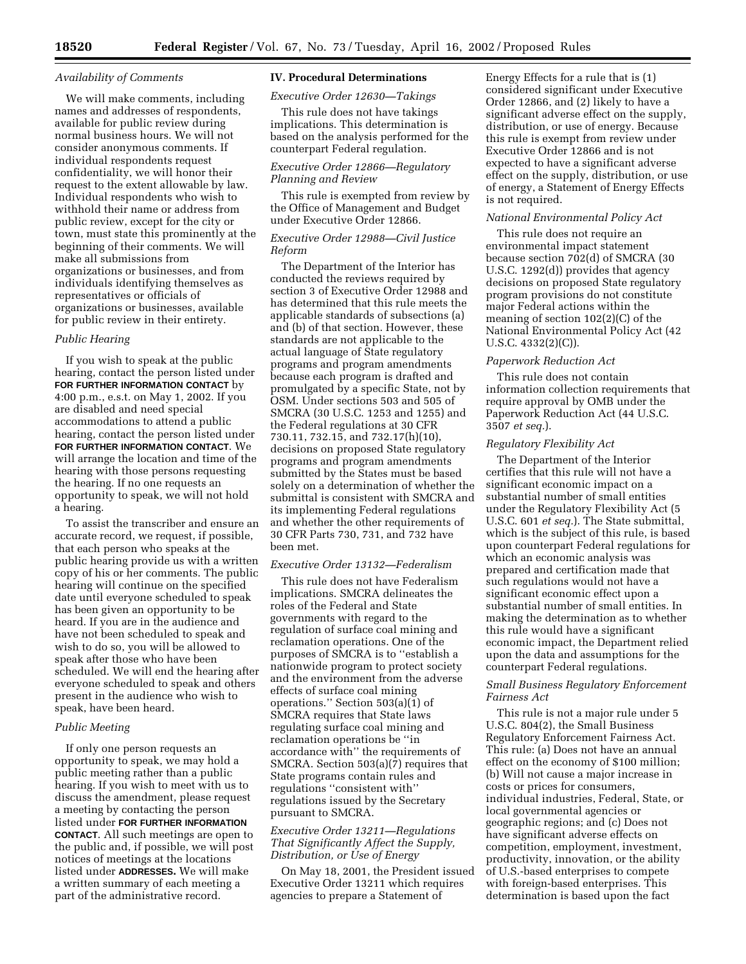#### *Availability of Comments*

We will make comments, including names and addresses of respondents, available for public review during normal business hours. We will not consider anonymous comments. If individual respondents request confidentiality, we will honor their request to the extent allowable by law. Individual respondents who wish to withhold their name or address from public review, except for the city or town, must state this prominently at the beginning of their comments. We will make all submissions from organizations or businesses, and from individuals identifying themselves as representatives or officials of organizations or businesses, available for public review in their entirety.

## *Public Hearing*

If you wish to speak at the public hearing, contact the person listed under **FOR FURTHER INFORMATION CONTACT** by 4:00 p.m., e.s.t. on May 1, 2002. If you are disabled and need special accommodations to attend a public hearing, contact the person listed under **FOR FURTHER INFORMATION CONTACT**. We will arrange the location and time of the hearing with those persons requesting the hearing. If no one requests an opportunity to speak, we will not hold a hearing.

To assist the transcriber and ensure an accurate record, we request, if possible, that each person who speaks at the public hearing provide us with a written copy of his or her comments. The public hearing will continue on the specified date until everyone scheduled to speak has been given an opportunity to be heard. If you are in the audience and have not been scheduled to speak and wish to do so, you will be allowed to speak after those who have been scheduled. We will end the hearing after everyone scheduled to speak and others present in the audience who wish to speak, have been heard.

### *Public Meeting*

If only one person requests an opportunity to speak, we may hold a public meeting rather than a public hearing. If you wish to meet with us to discuss the amendment, please request a meeting by contacting the person listed under **FOR FURTHER INFORMATION CONTACT**. All such meetings are open to the public and, if possible, we will post notices of meetings at the locations listed under **ADDRESSES.** We will make a written summary of each meeting a part of the administrative record.

# **IV. Procedural Determinations**

# *Executive Order 12630—Takings*

This rule does not have takings implications. This determination is based on the analysis performed for the counterpart Federal regulation.

# *Executive Order 12866—Regulatory Planning and Review*

This rule is exempted from review by the Office of Management and Budget under Executive Order 12866.

# *Executive Order 12988—Civil Justice Reform*

The Department of the Interior has conducted the reviews required by section 3 of Executive Order 12988 and has determined that this rule meets the applicable standards of subsections (a) and (b) of that section. However, these standards are not applicable to the actual language of State regulatory programs and program amendments because each program is drafted and promulgated by a specific State, not by OSM. Under sections 503 and 505 of SMCRA (30 U.S.C. 1253 and 1255) and the Federal regulations at 30 CFR 730.11, 732.15, and 732.17(h)(10), decisions on proposed State regulatory programs and program amendments submitted by the States must be based solely on a determination of whether the submittal is consistent with SMCRA and its implementing Federal regulations and whether the other requirements of 30 CFR Parts 730, 731, and 732 have been met.

#### *Executive Order 13132—Federalism*

This rule does not have Federalism implications. SMCRA delineates the roles of the Federal and State governments with regard to the regulation of surface coal mining and reclamation operations. One of the purposes of SMCRA is to ''establish a nationwide program to protect society and the environment from the adverse effects of surface coal mining operations.'' Section 503(a)(1) of SMCRA requires that State laws regulating surface coal mining and reclamation operations be ''in accordance with'' the requirements of SMCRA. Section 503(a)(7) requires that State programs contain rules and regulations ''consistent with'' regulations issued by the Secretary pursuant to SMCRA.

# *Executive Order 13211—Regulations That Significantly Affect the Supply, Distribution, or Use of Energy*

On May 18, 2001, the President issued Executive Order 13211 which requires agencies to prepare a Statement of

Energy Effects for a rule that is (1) considered significant under Executive Order 12866, and (2) likely to have a significant adverse effect on the supply, distribution, or use of energy. Because this rule is exempt from review under Executive Order 12866 and is not expected to have a significant adverse effect on the supply, distribution, or use of energy, a Statement of Energy Effects is not required.

#### *National Environmental Policy Act*

This rule does not require an environmental impact statement because section 702(d) of SMCRA (30 U.S.C. 1292(d)) provides that agency decisions on proposed State regulatory program provisions do not constitute major Federal actions within the meaning of section 102(2)(C) of the National Environmental Policy Act (42 U.S.C. 4332(2)(C)).

#### *Paperwork Reduction Act*

This rule does not contain information collection requirements that require approval by OMB under the Paperwork Reduction Act (44 U.S.C. 3507 *et seq.*).

### *Regulatory Flexibility Act*

The Department of the Interior certifies that this rule will not have a significant economic impact on a substantial number of small entities under the Regulatory Flexibility Act (5 U.S.C. 601 *et seq.*). The State submittal, which is the subject of this rule, is based upon counterpart Federal regulations for which an economic analysis was prepared and certification made that such regulations would not have a significant economic effect upon a substantial number of small entities. In making the determination as to whether this rule would have a significant economic impact, the Department relied upon the data and assumptions for the counterpart Federal regulations.

# *Small Business Regulatory Enforcement Fairness Act*

This rule is not a major rule under 5 U.S.C. 804(2), the Small Business Regulatory Enforcement Fairness Act. This rule: (a) Does not have an annual effect on the economy of \$100 million; (b) Will not cause a major increase in costs or prices for consumers, individual industries, Federal, State, or local governmental agencies or geographic regions; and (c) Does not have significant adverse effects on competition, employment, investment, productivity, innovation, or the ability of U.S.-based enterprises to compete with foreign-based enterprises. This determination is based upon the fact